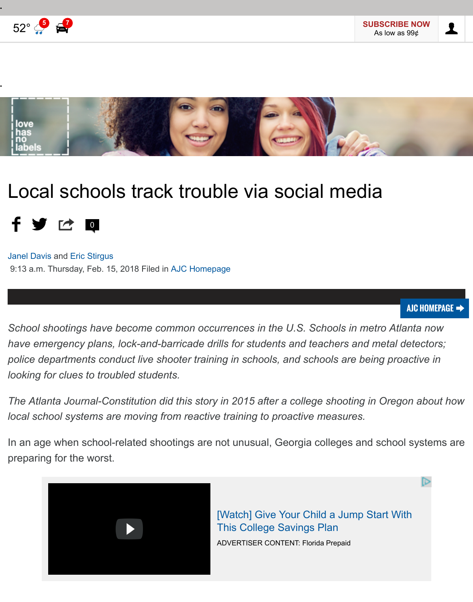

# [Local schools track trouble via social media](http://lovehasnolabels.com/) 千岁位回

Janel Davis and Eric Stirgus 9:13 a.m. Thursday, Feb. 15, 2018 Filed in AJC Homepage

*School shootings have become common occurrences in the U.S. Schools in metro Atlanta now at a now at a now at a metro Atlanta now at a metro Atlanta now at a metro*  $A$ *[have eme](https://www.ajc.com/news/janel-davis/PPmUHriVwu5WPx12sSn3fO/)rge[ncy plans,](https://www.ajc.com/news/eric-stirgus/u84u2PkcxCOBAQR1Bvx9SP/) lock-and-barricade drills for students and teachers and metal police departments conduct live sh[ooter training](https://www.ajc.com/) in schools, and schools are being pr looking for clues to troubled students.*

*The Atlanta Journal-Constitution did this story in 2015 after a college shooting in Oregon: local school systems are moving from reactive training to proactive measures.*

In an age when school-related shootings are not unusual, Georgia colleges and scho preparing for the worst.



[Watch] Give Your Child a Jump Start W This College Savings Plan ADVERTISER CONTENT: Florida Prepaid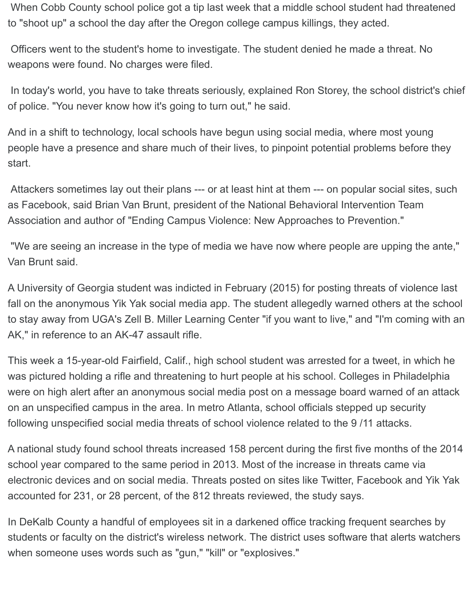When Cobb County school police got a tip last week that a middle school student had threatened to "shoot up" a school the day after the Oregon college campus killings, they acted.

 Officers went to the student's home to investigate. The student denied he made a threat. No weapons were found. No charges were filed.

 In today's world, you have to take threats seriously, explained Ron Storey, the school district's chief of police. "You never know how it's going to turn out," he said.

And in a shift to technology, local schools have begun using social media, where most young people have a presence and share much of their lives, to pinpoint potential problems before they start.

 Attackers sometimes lay out their plans --- or at least hint at them --- on popular social sites, such as Facebook, said Brian Van Brunt, president of the National Behavioral Intervention Team Association and author of "Ending Campus Violence: New Approaches to Prevention."

 "We are seeing an increase in the type of media we have now where people are upping the ante," Van Brunt said.

A University of Georgia student was indicted in February (2015) for posting threats of violence last fall on the anonymous Yik Yak social media app. The student allegedly warned others at the school to stay away from UGA's Zell B. Miller Learning Center "if you want to live," and "I'm coming with an AK," in reference to an AK-47 assault rifle.

This week a 15-year-old Fairfield, Calif., high school student was arrested for a tweet, in which he was pictured holding a rifle and threatening to hurt people at his school. Colleges in Philadelphia were on high alert after an anonymous social media post on a message board warned of an attack on an unspecified campus in the area. In metro Atlanta, school officials stepped up security following unspecified social media threats of school violence related to the 9 /11 attacks.

A national study found school threats increased 158 percent during the first five months of the 2014 school year compared to the same period in 2013. Most of the increase in threats came via electronic devices and on social media. Threats posted on sites like Twitter, Facebook and Yik Yak accounted for 231, or 28 percent, of the 812 threats reviewed, the study says.

In DeKalb County a handful of employees sit in a darkened office tracking frequent searches by students or faculty on the district's wireless network. The district uses software that alerts watchers when someone uses words such as "gun," "kill" or "explosives."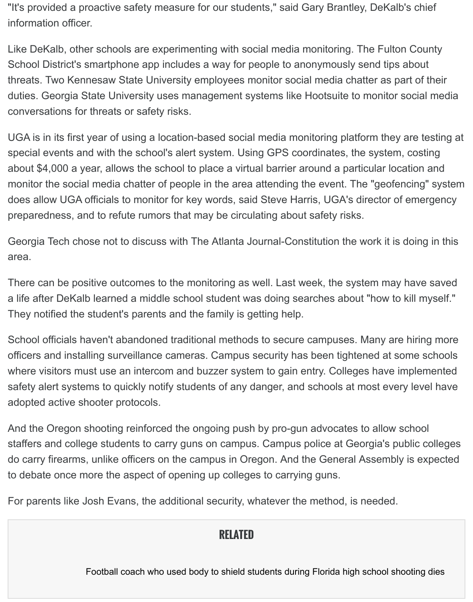duties. Georgia State University uses management systems like Hootsuite to monitor conversations for threats or safety risks.

UGA is in its first year of using a location-based social media monitoring platform they special events and with the school's alert system. Using GPS coordinates, the system about \$4,000 a year, allows the school to place a virtual barrier around a particular lo monitor the social media chatter of people in the area attending the event. The "geofencing" system of the system of the system of the system of the system of the system of the system of the system of the system of the sys does allow UGA officials to monitor for key words, said Steve Harris, UGA's director of preparedness, and to refute rumors that may be circulating about safety risks.

Georgia Tech chose not to discuss with The Atlanta Journal-Constitution the work it is area.

There can be positive outcomes to the monitoring as well. Last week, the system may a life after DeKalb learned a middle school student was doing searches about "how to They notified the student's parents and the family is getting help.

School officials haven't abandoned traditional methods to secure campuses. Many ar officers and installing surveillance cameras. Campus security has been tightened at s where visitors must use an intercom and buzzer system to gain entry. Colleges have safety alert systems to quickly notify students of any danger, and schools at most eve adopted active shooter protocols.

And the Oregon shooting reinforced the ongoing push by pro-gun advocates to allow staffers and college students to carry guns on campus. Campus police at Georgia's p do carry firearms, unlike officers on the campus in Oregon. And the General Assemb to debate once more the aspect of opening up colleges to carrying guns.

For parents like Josh Evans, the additional security, whatever the method, is needed.

## **RELATED**

Football coach who used body to shield students during Florida high school sl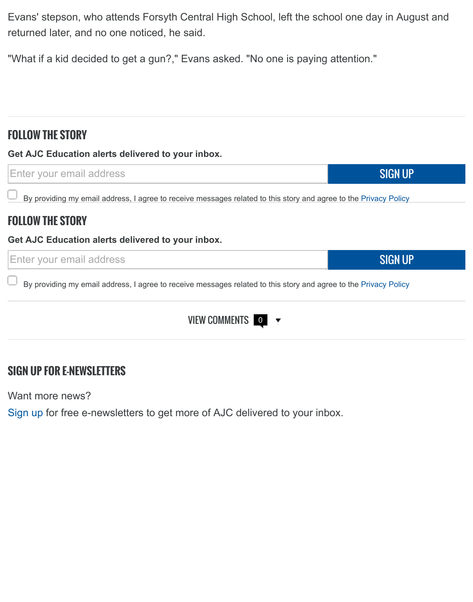## **FOLLOW THE STORY**

**Get AJC Education alerts delivered to your inbox.**



By providing my email address, I agree to receive messages related to this story and agree to the Privacy Poli

## **FOLLOW THE STORY**

#### **Get AJC Education alerts delivered to your inbox.**



By providing my email address, I agree to receive messages related to this story and agree to the Privacy Po

### VIEW COMMENTS 0

## **SIGN UP FOR E-NEWSLETTERS**

Want more news?

Sign up for free e-newsletters to get more of AJC delivered to your inbox.

SIGN

SIGN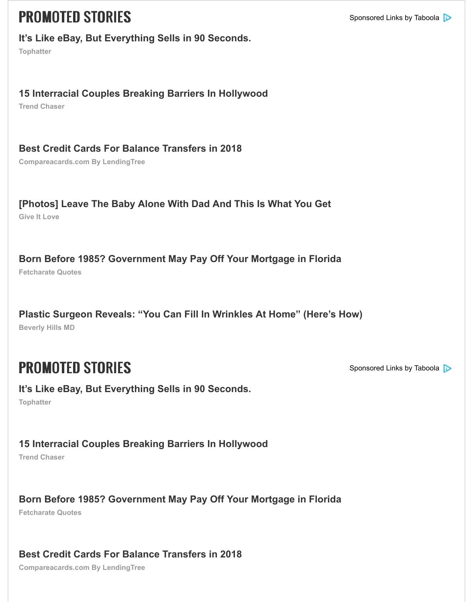#### **15 Interracial Couples Breaking Barriers In Hollywood**

**Trend Chaser**

#### **[Best Credit Cards For Balance Transfers in 2018](https://tophatter.com/?categories=fashion&ad_id2=4c9511&ad_creative_id=ace0003&ad_image=square3.jpg&ad_title=%7B%7BTITLE%7D%7D&source=taboola&campaign=914904&ad_group=Desktop_Jewelry_FahsionCategory&ad_content=62043974&ad_widget=cox-atlantajournal-constitution)**

**Compareacards.com By LendingTree**

## **[\[Photos\] Leave The Baby Alone With Dad And This Is What You Get](https://www.trend-chaser.com/celebrity/hottest-hollywood-couples-interracial-edition/?utm_source=tb&utm_medium=cox-atlantajournal-constitution-tb&utm_term=15+Interracial+Couples+Breaking+Barriers+In+Hollywood-https%3A%2F%2Fconsole.brax-cdn.com%2Fcreatives%2Fb86bbc0b-1fab-4ae3-9b34-fef78c1a7488%2Fdeniro_hci_731d16b25f971698eca7cd32fe659966.600x500.png&utm_content=42730649&utm_campaign=587206-tb&utm_taboola_id=587206)**

**Give It Love**

## **[Born Before 1985? Government May Pay Off Your Mortgage in Florida](http://www.comparecards.com/guide/best-balance-transfer-credit-cards?grp=best-bt-adv&utm_source=taboola&utm_campaign=867176&utm_content=Best+Credit+Cards+For+Balance+Transfers+in+2018&utm_medium=native&pla=cox-atlantajournal-constitution&acqs=prospecting&bdst=cpc&adt=https%3A%2F%2Fconsole.brax-cdn.com%2Fcreatives%2F6970f775-437f-4a36-b61f-1e6677814551%2FBusinessman_600x500_color_6008203994e24de1e53318f90ed82215.600x500.png%21-%23%40600x500&c1=65128810&esource=6271476)**

**Fetcharate Quotes**

**Beverly Hills MD [Plastic Surgeon Reveals: "You Can Fill In Wrinkles At Home" \(Here's How\)](http://www.giveitlove.com/these-dads-have-failed-gloriously-at-parenting-and-thats-okay/?utm_source=tb&utm_medium=cox-atlantajournal-constitution-tb&utm_term=%5BPhotos%5D+Leave+The+Baby+Alone+With+Dad+And+This+Is+What+You+Get-https%3A%2F%2Fconsole.brax-cdn.com%2Fcreatives%2Fb86bbc0b-1fab-4ae3-9b34-fef78c1a7488%2F5_3d481518cff352213d47e341b4b60bbd.600x500.png%21-%23%40600x500&utm_content=64708266&utm_campaign=963726-tb)**

## **PROMOTED STORIES** Sponsored Links by Taboola Sponsored Links by Taboola By Taboola By Taboola By Taboola By Taboola By Taboola By Taboola By Taboola By Taboola By Taboola By Taboola By Taboola By Taboola By Taboola By Tab

### **[It's Like eBay, But Everything Sells in 90 Seconds.](https://www.fetcharate.com/pa/?tg_ref=t1febpron&pag_ref=febh&csg_ref=c_4140&camp_id=Born_Before_1985?_state_Can_Pay_Your_Mortgage&keyword=goldbars2.jpg&sub2=cox-atlantajournal-constitution)**

**Tophatter**

#### **[15 Interracial Couples Breaking Barriers In Hollywood](http://beverlyhillsmd.com/cmd.php?ad=865099&utm_source=taboola&utm_medium=referral)**

**Trend Chaser**

#### **[Born Before 1985? Government May Pay Off Your Mortgage in Florida](https://tophatter.com/?categories=fashion&ad_id2=4c9511&ad_creative_id=ace0003&ad_image=square3.jpg&ad_title=%7B%7BTITLE%7D%7D&source=taboola&campaign=914904&ad_group=Desktop_Jewelry_FahsionCategory&ad_content=62043974&ad_widget=cox-atlantajournal-constitution)**

**Fetcharate Quotes**

**[Best Credit Cards For Balance Transfers in 2018](https://www.trend-chaser.com/celebrity/hottest-hollywood-couples-interracial-edition/?utm_source=tb&utm_medium=cox-atlantajournal-constitution-tb&utm_term=15+Interracial+Couples+Breaking+Barriers+In+Hollywood-https%3A%2F%2Fconsole.brax-cdn.com%2Fcreatives%2Fb86bbc0b-1fab-4ae3-9b34-fef78c1a7488%2Fdeniro_hci_731d16b25f971698eca7cd32fe659966.600x500.png&utm_content=42730649&utm_campaign=587206-tb&utm_taboola_id=587206)**

**Compareacards.com By LendingTree**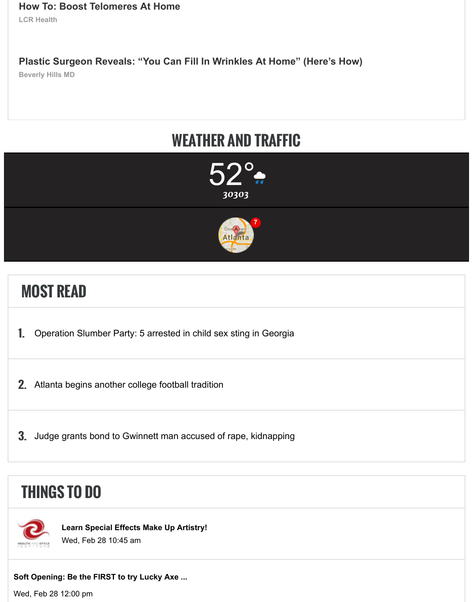# **[WEATHER AND TRAFFIC](http://livecellresearch.com/cmd.php?ad=878125&utm_source=taboola&utm_medium=referral)**





# **[MOST READ](https://www.ajc.com/weather)**

- 1. [Operation Slumber Party: 5 arrested in child sex sting in Georgia](https://www.ajc.com/traffic)
- 2. Atlanta begins another college football tradition
- 3. Judge grants bond to Gwinnett man accused of rape, kidnapping

## **THINGS TO DO**



**[Learn Special Effects Make Up Artistry!](https://ajc.com/news/local/judge-grants-bond-gwinnett-man-accused-rape-kidnapping/cqNCixTa12S4ZAJNFJ3ktM/)** Wed, Feb 28 10:45 am

#### **Soft Opening: Be the FIRST to try Lucky Axe ...**

Wed, Feb 28 12:00 pm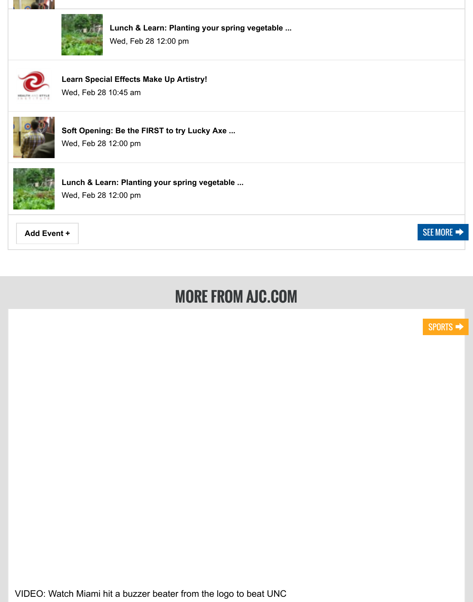

Wed, Feb 28 10:45 am



**Soft Openin[g: Be the FIRST to try L](https://events.accessatlanta.com/event/lunch-learn-planting-your-spring-vegetable-gardenfebruary-28-20185a8e52285803c)ucky Axe ...**

Wed, Feb 28 12:00 pm



**[Lunch & Learn: Planti](https://events.accessatlanta.com/event/learn-special-effects-make-up-artistry--h1ke5jpoxr)ng your spring vegetable ...** Wed, Feb 28 12:00 pm

**Add Even[t +](https://events.accessatlanta.com/event/soft-opening-be-the-first-to-try-lucky-axe-throwing-x8cqmzhrks)** SEE MORE THAN A SEE MORE THAN A SECOND FOR SECOND SECOND SECOND SECOND SECOND SECOND SECOND SECOND SECOND SECOND SECOND SECOND SECOND SECOND SECOND SECOND SECOND SECOND SECOND SECOND SECOND SECOND SECOND SECO

# **MORE FROM AJC.COM**

[VIDEO: Watch Miami hit a buzzer beater from the logo to beat UNC](https://www.ajc.com/sports/video-watch-miami-hit-buzzer-beater-from-the-logo-beat-unc/sIE4SzeFm9eZSBTHjR0c4M/)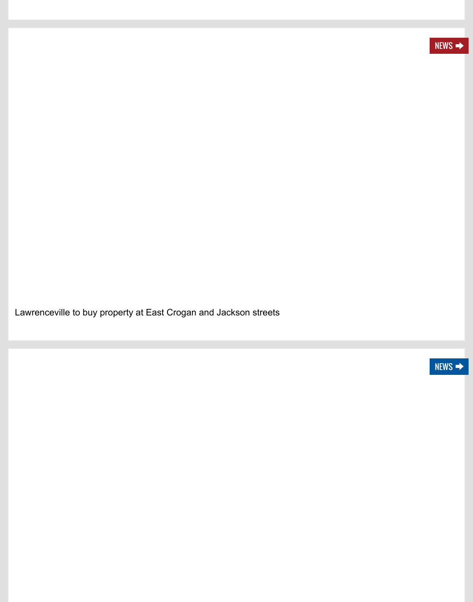[Lawrenceville to buy property at East Crogan and Jackson streets](https://www.ajc.com/news/local/lawrenceville-buy-property-east-crogan-and-jackson-streets/MX1Us5P4tZoGO98UP5ulfN/)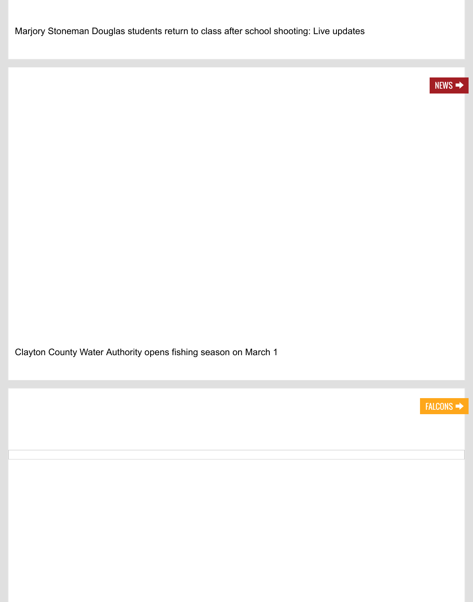[Clayton County Water Authority opens fishing season on March 1](https://www.ajc.com/news/local/clayton-county-water-authority-opens-fishing-season-march/T6t7p5e4VEaKebGR8kXOKN/)